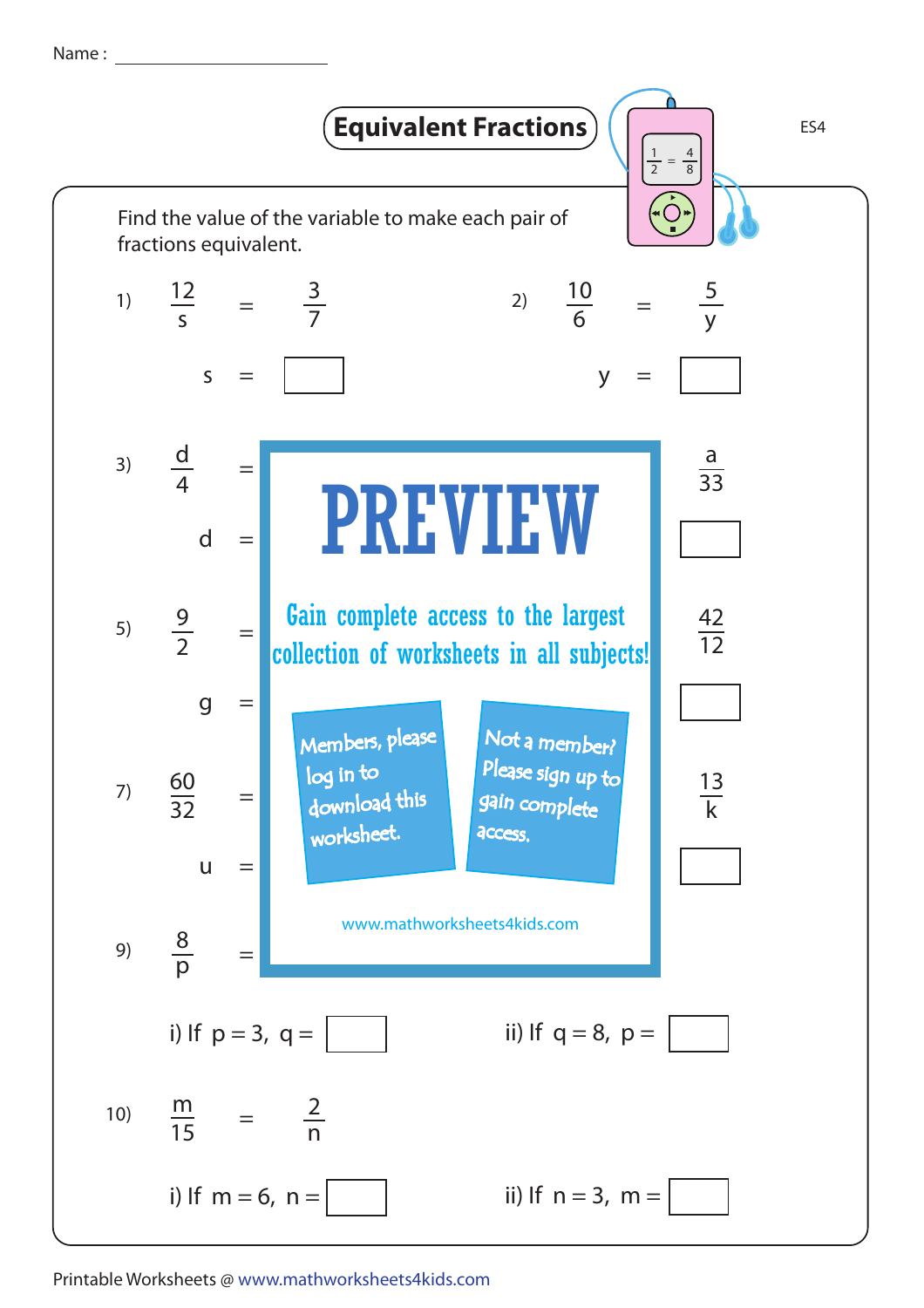Name :



Printable Worksheets @ www.mathworksheets4kids.com